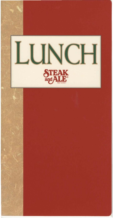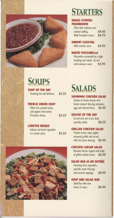

# **STARTERS**

# BAKED STUFFED MUSHROOMS

| Filled with crabmeat and |        |
|--------------------------|--------|
| seafood stuffing.        | \$4.45 |
| With Provolone cheese.   | \$4.75 |

# SHRIMP COCKTAIL

With cocktail sauce. \$4.95

BAKED MOZZARELLA

Mozzarella surrounded by a light breading and baked. Served with marinara sauce. \$3.95

# **SOUPS**

SOUP OF THE DAY Steaming hot and delicious. \$2.25

# FRENCH ONION SOUP

Filled with sautéed onions and topped with melted Provolone cheese. **\$3.25** 

# LOBSTER BISQUE

| Lobster and diced vegetables |        |  |
|------------------------------|--------|--|
| in a cream sauce.            | \$3.25 |  |

**SALADS** 

SAVANNAH CHICKEN SALAD Chunks of chicken breast with honey mustard dressing. tomatoes, eggs and almond slivers. \$5.45

QUICHE OF THE DAY Served with one of our daily specialty salads. \$4.25

# GRILLED CHICKEN SALAD

Chicken breast strips, lightly seasoned. grilled and served with hot bacon dressing. \$5.45

# CHICKEN CAESAR SALAD

Romaine lettuce topped with strips of grilled chicken breast. \$5.45

# SALAD BAR AS AN ENTREE

Featuring fresh vegetables, specially made dressings and assorted toppings. \$4.95

# SOUP AND SALAD BAR

Salad Bar with your choice of soups. \$5.95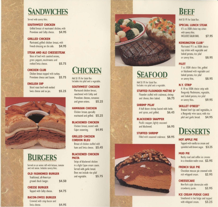# **SANDWICHES**

Served with savory fries.

# **SOUTHWEST CHICKEN**

Grilled breast of marinated chicken, with Provolone and Colby cheese. \$4.95

# **GRILLED CHICKEN**

Marinated, grilled chicken breast, with French dressing on the side. \$4.95

# **STEAK AND ALE CHEESESTEAK**

Slices of beef with sautéed onions. green peppers, mushrooms and melted Swiss cheese. \$5.75

# **CHICKEN CLUB**

Chicken breast topped with turkey, Provolone cheese and bacon. \$5.75

### **ENGLISH DIP**

|                          |  | Sliced roast beef with melted |        |
|--------------------------|--|-------------------------------|--------|
| Swiss cheese and au jus. |  |                               | \$5.25 |



# **BURGERS**

Served on an onion roll with lettuce, tomato and red onion. Includes savory fries.

\$4.50

\$4.75

# **OLD FASHIONED BURGER**

Traditional, all-American ground chuck burger.

### **CHEESE BURGER**

Topped with Colby cheese.

# **BACON-SWISS BURGER**

| Crowned with crisp bacon and |  |  |        |
|------------------------------|--|--|--------|
| Swiss cheese.                |  |  | \$4.95 |

# **CHICKEN**

Add \$1.95 for Salad Bar. Includes rice pilaf and a vegetable.

#### **SOUTHWEST CHICKEN**

Marinated chicken breast. smothered with Colby and Provolone cheeses, tomatoes \$5.25 and green onions.

# **HAWAIIAN CHICKEN**

Chicken breast, specially marinated and grilled. \$5.25

#### **BLACKENED CHICKEN** Chicken breast, coated with

\$4.95 Cajun seasoning.

#### **GRILLED CHICKEN CORDON BLEU**

Breast of chicken stuffed with ham and Swiss cheese. \$5.45

### **BLACKENED CHICKEN PASTA**

Strips of blackened chicken in a light Cajun cream sauce. Served with garlic bread. Does not include rice pilaf and vegetable. \$5.75



# **SEAFOOD**

Add \$1.95 for Salad Bar. Includes rice pilaf and a vegetable.

**STUFFED FLOUNDER MAÎTRE D'** Flounder stuffed with crabmeat, shrimp and cheese, then baked. \$6.75

#### **SHRIMP PILAF**

A half dozen shrimp basted with herbs and spices, and grilled. \$6.45

#### **BLACKENED SNAPPER**

Pacific snapper, lightly seasoned and blackened. \$6.95

**STUFFED SHRIMP** Filled with seasoned crabmeat. \$8.95



# **BEEF**

Add \$1.95 for Salad Bar.

# **SPECIAL LUNCH STEAK**

63/4 oz. USDA choice top sirloin with savory fries. **INCLUDES SALAD BAR.** \$7.95

#### **KENSINGTON CLUB®**

Marinated 9<sup>1</sup>/2 oz. USDA choice top sirloin with vegetable and baked potato, rice pilaf \$8.95 or savory fries.

# **FILET**

7 oz. USDA choice filet, grilled or blackened with vegetable and baked potato, rice pilaf \$8.95 or savory fries.

### **N.Y. STRIP**

A 10 oz. USDA choice strip with Burgundy Mushrooms, vegetable, and baked potato, rice pilaf \$9.95 or savory fries.

### **SKILLET O'BEEF®**

Braised beef tips and vegetables, in a Burgundy wine sauce, with rice pilaf and garlic bread. \$4.95

# **DESSERTS**

### **HOT APPLE PIE**

Topped with vanilla ice cream and sprinkled with brown sugar. \$3.25

# **MUD PIE**

Rocky road and coffee ice creams in a chocolate wafer crust. \$2.95

### **FRENCH SILK PIE**

Chocolate mousse pie crowned with rich whipped cream. \$2.95

# **CHEESECAKE**

New York-style cheesecake with strawberry purée. \$2.95

# **ICE CREAM FUDGE CAKE**

Smothered in hot fudge and topped with whipped cream. \$3.25